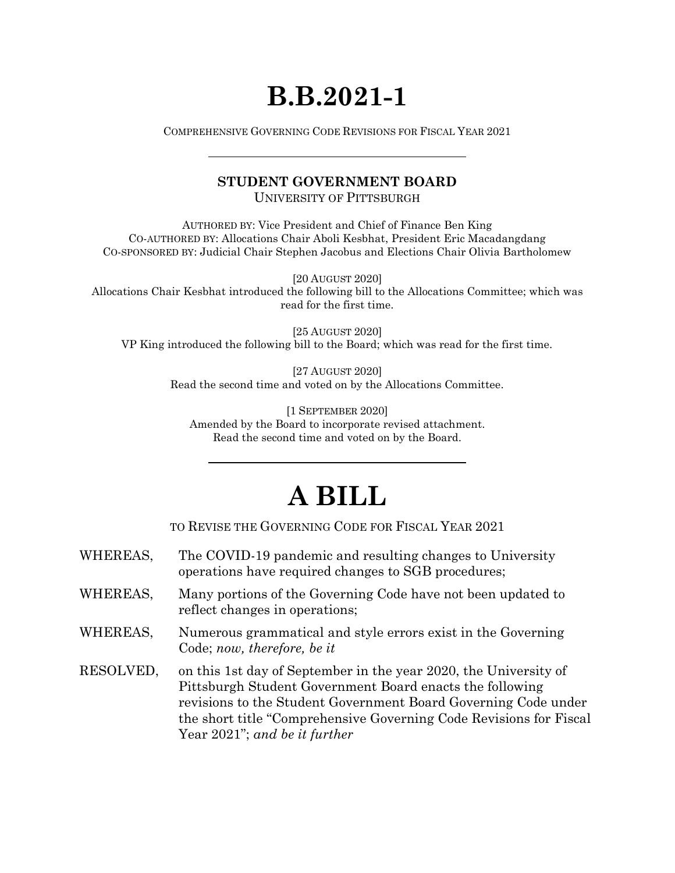## **B.B.2021-1**

COMPREHENSIVE GOVERNING CODE REVISIONS FOR FISCAL YEAR 2021

## **STUDENT GOVERNMENT BOARD**

UNIVERSITY OF PITTSBURGH

AUTHORED BY: Vice President and Chief of Finance Ben King CO-AUTHORED BY: Allocations Chair Aboli Kesbhat, President Eric Macadangdang CO-SPONSORED BY: Judicial Chair Stephen Jacobus and Elections Chair Olivia Bartholomew

[20 AUGUST 2020]

Allocations Chair Kesbhat introduced the following bill to the Allocations Committee; which was read for the first time.

[25 AUGUST 2020] VP King introduced the following bill to the Board; which was read for the first time.

> [27 AUGUST 2020] Read the second time and voted on by the Allocations Committee.

[1 SEPTEMBER 2020] Amended by the Board to incorporate revised attachment. Read the second time and voted on by the Board.

## **A BILL**

TO REVISE THE GOVERNING CODE FOR FISCAL YEAR 2021

- WHEREAS, The COVID-19 pandemic and resulting changes to University operations have required changes to SGB procedures;
- WHEREAS, Many portions of the Governing Code have not been updated to reflect changes in operations;
- WHEREAS, Numerous grammatical and style errors exist in the Governing Code; *now, therefore, be it*
- RESOLVED, on this 1st day of September in the year 2020, the University of Pittsburgh Student Government Board enacts the following revisions to the Student Government Board Governing Code under the short title "Comprehensive Governing Code Revisions for Fiscal Year 2021"; *and be it further*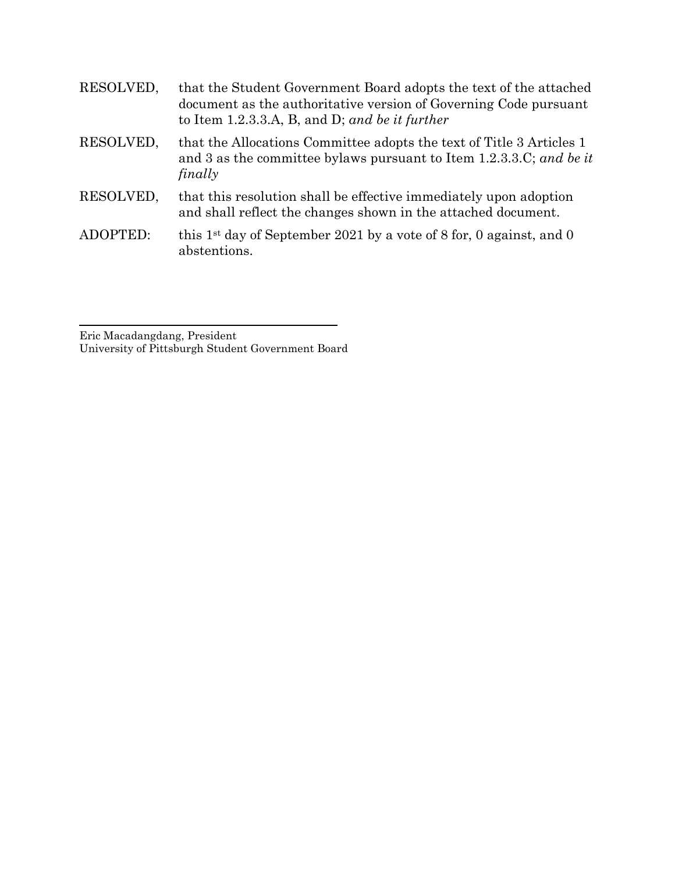| RESOLVED, | that the Student Government Board adopts the text of the attached<br>document as the authoritative version of Governing Code pursuant<br>to Item 1.2.3.3.A, B, and D; and be it further |
|-----------|-----------------------------------------------------------------------------------------------------------------------------------------------------------------------------------------|
| RESOLVED, | that the Allocations Committee adopts the text of Title 3 Articles 1<br>and 3 as the committee by laws pursuant to Item 1.2.3.3.C; and be it<br>finally                                 |
| RESOLVED, | that this resolution shall be effective immediately upon adoption<br>and shall reflect the changes shown in the attached document.                                                      |
| ADOPTED:  | this 1 <sup>st</sup> day of September 2021 by a vote of 8 for, 0 against, and 0<br>abstentions.                                                                                         |

Eric Macadangdang, President University of Pittsburgh Student Government Board